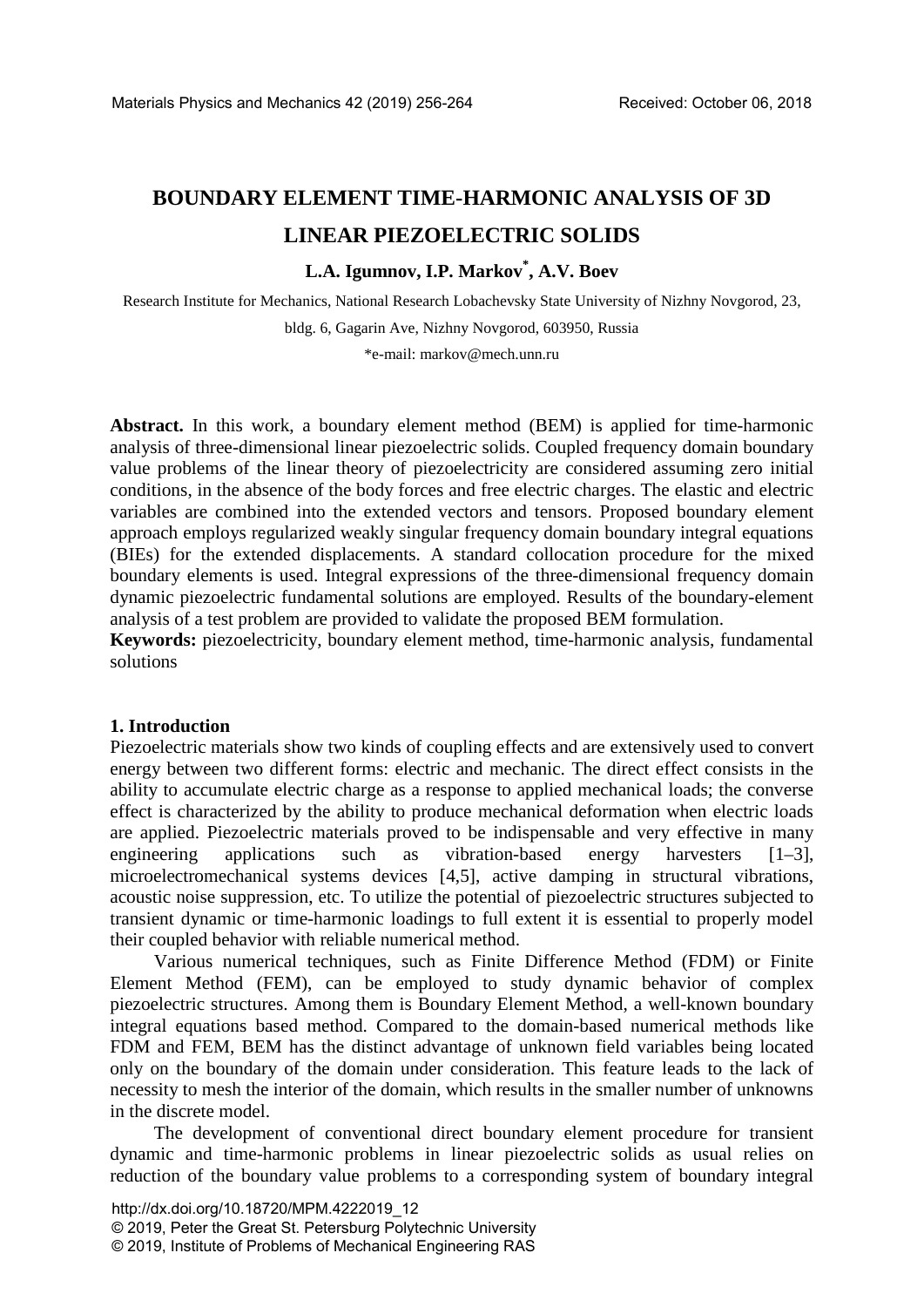# **BOUNDARY ELEMENT TIME-HARMONIC ANALYSIS OF 3D LINEAR PIEZOELECTRIC SOLIDS**

## **L.A. Igumnov, I.P. Markov\* , A.V. Boev**

Research Institute for Mechanics, National Research Lobachevsky State University of Nizhny Novgorod, 23, bldg. 6, Gagarin Ave, Nizhny Novgorod, 603950, Russia

\*e-mail: markov@mech.unn.ru

**Abstract.** In this work, a boundary element method (BEM) is applied for time-harmonic analysis of three-dimensional linear piezoelectric solids. Coupled frequency domain boundary value problems of the linear theory of piezoelectricity are considered assuming zero initial conditions, in the absence of the body forces and free electric charges. The elastic and electric variables are combined into the extended vectors and tensors. Proposed boundary element approach employs regularized weakly singular frequency domain boundary integral equations (BIEs) for the extended displacements. A standard collocation procedure for the mixed boundary elements is used. Integral expressions of the three-dimensional frequency domain dynamic piezoelectric fundamental solutions are employed. Results of the boundary-element analysis of a test problem are provided to validate the proposed BEM formulation.

**Keywords:** piezoelectricity, boundary element method, time-harmonic analysis, fundamental solutions

#### **1. Introduction**

Piezoelectric materials show two kinds of coupling effects and are extensively used to convert energy between two different forms: electric and mechanic. The direct effect consists in the ability to accumulate electric charge as a response to applied mechanical loads; the converse effect is characterized by the ability to produce mechanical deformation when electric loads are applied. Piezoelectric materials proved to be indispensable and very effective in many engineering applications such as vibration-based energy harvesters [1–3], microelectromechanical systems devices [4,5], active damping in structural vibrations, acoustic noise suppression, etc. To utilize the potential of piezoelectric structures subjected to transient dynamic or time-harmonic loadings to full extent it is essential to properly model their coupled behavior with reliable numerical method.

Various numerical techniques, such as Finite Difference Method (FDM) or Finite Element Method (FEM), can be employed to study dynamic behavior of complex piezoelectric structures. Among them is Boundary Element Method, a well-known boundary integral equations based method. Compared to the domain-based numerical methods like FDM and FEM, BEM has the distinct advantage of unknown field variables being located only on the boundary of the domain under consideration. This feature leads to the lack of necessity to mesh the interior of the domain, which results in the smaller number of unknowns in the discrete model.

The development of conventional direct boundary element procedure for transient dynamic and time-harmonic problems in linear piezoelectric solids as usual relies on reduction of the boundary value problems to a corresponding system of boundary integral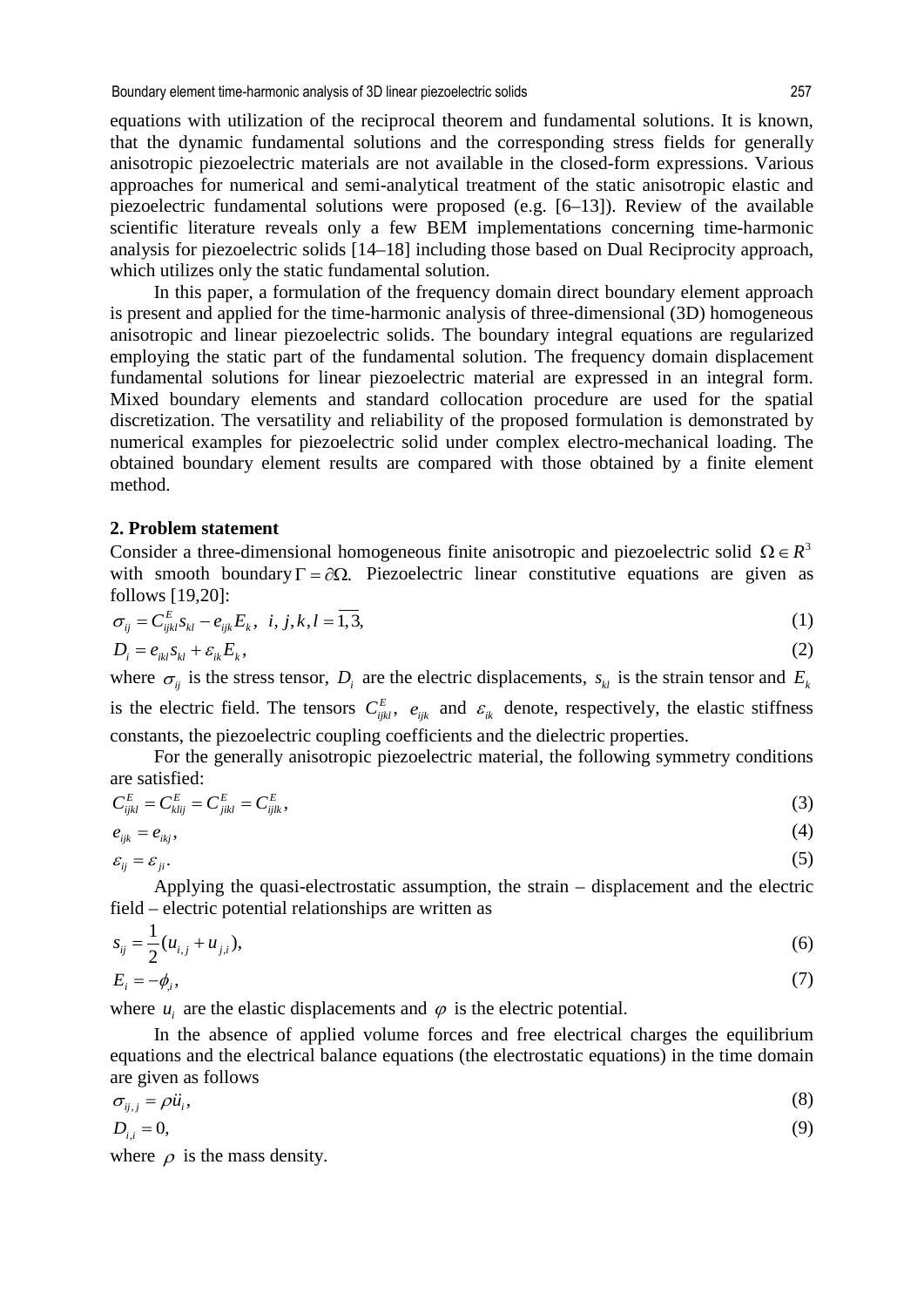equations with utilization of the reciprocal theorem and fundamental solutions. It is known, that the dynamic fundamental solutions and the corresponding stress fields for generally anisotropic piezoelectric materials are not available in the closed-form expressions. Various approaches for numerical and semi-analytical treatment of the static anisotropic elastic and piezoelectric fundamental solutions were proposed (e.g. [6–13]). Review of the available scientific literature reveals only a few BEM implementations concerning time-harmonic analysis for piezoelectric solids [14–18] including those based on Dual Reciprocity approach, which utilizes only the static fundamental solution.

In this paper, a formulation of the frequency domain direct boundary element approach is present and applied for the time-harmonic analysis of three-dimensional (3D) homogeneous anisotropic and linear piezoelectric solids. The boundary integral equations are regularized employing the static part of the fundamental solution. The frequency domain displacement fundamental solutions for linear piezoelectric material are expressed in an integral form. Mixed boundary elements and standard collocation procedure are used for the spatial discretization. The versatility and reliability of the proposed formulation is demonstrated by numerical examples for piezoelectric solid under complex electro-mechanical loading. The obtained boundary element results are compared with those obtained by a finite element method.

#### **2. Problem statement**

Consider a three-dimensional homogeneous finite anisotropic and piezoelectric solid  $\Omega \in R^3$ with smooth boundary  $\Gamma = \partial \Omega$ . Piezoelectric linear constitutive equations are given as follows [19,20]:

$$
\sigma_{ij} = C_{ijkl}^E s_{kl} - e_{ijk} E_k, \ \ i, j, k, l = \overline{1,3}, \tag{1}
$$

$$
D_i = e_{ikl} s_{kl} + \varepsilon_{ik} E_k, \tag{2}
$$

where  $\sigma_{ij}$  is the stress tensor,  $D_i$  are the electric displacements,  $s_{kl}$  is the strain tensor and  $E_k$ is the electric field. The tensors  $C_{ijkl}^E$ ,  $e_{ijk}$  and  $\varepsilon_{ik}$  denote, respectively, the elastic stiffness constants, the piezoelectric coupling coefficients and the dielectric properties.

For the generally anisotropic piezoelectric material, the following symmetry conditions are satisfied:

$$
C_{ijkl}^E = C_{klij}^E = C_{jikl}^E = C_{ijlk}^E,\tag{3}
$$

$$
e_{ijk} = e_{ikj}, \tag{4}
$$

 $\varepsilon_{ij} = \varepsilon_{ji}.$  (5)

Applying the quasi-electrostatic assumption, the strain – displacement and the electric field – electric potential relationships are written as

$$
s_{ij} = \frac{1}{2} (u_{i,j} + u_{j,i}),
$$
\n(6)

$$
E_i = -\phi_{i},\tag{7}
$$

where  $u_i$  are the elastic displacements and  $\varphi$  is the electric potential.

In the absence of applied volume forces and free electrical charges the equilibrium equations and the electrical balance equations (the electrostatic equations) in the time domain are given as follows

$$
\sigma_{ij,j} = \rho \ddot{u}_i,\tag{8}
$$

$$
D_{i,i} = 0,\tag{9}
$$

where  $\rho$  is the mass density.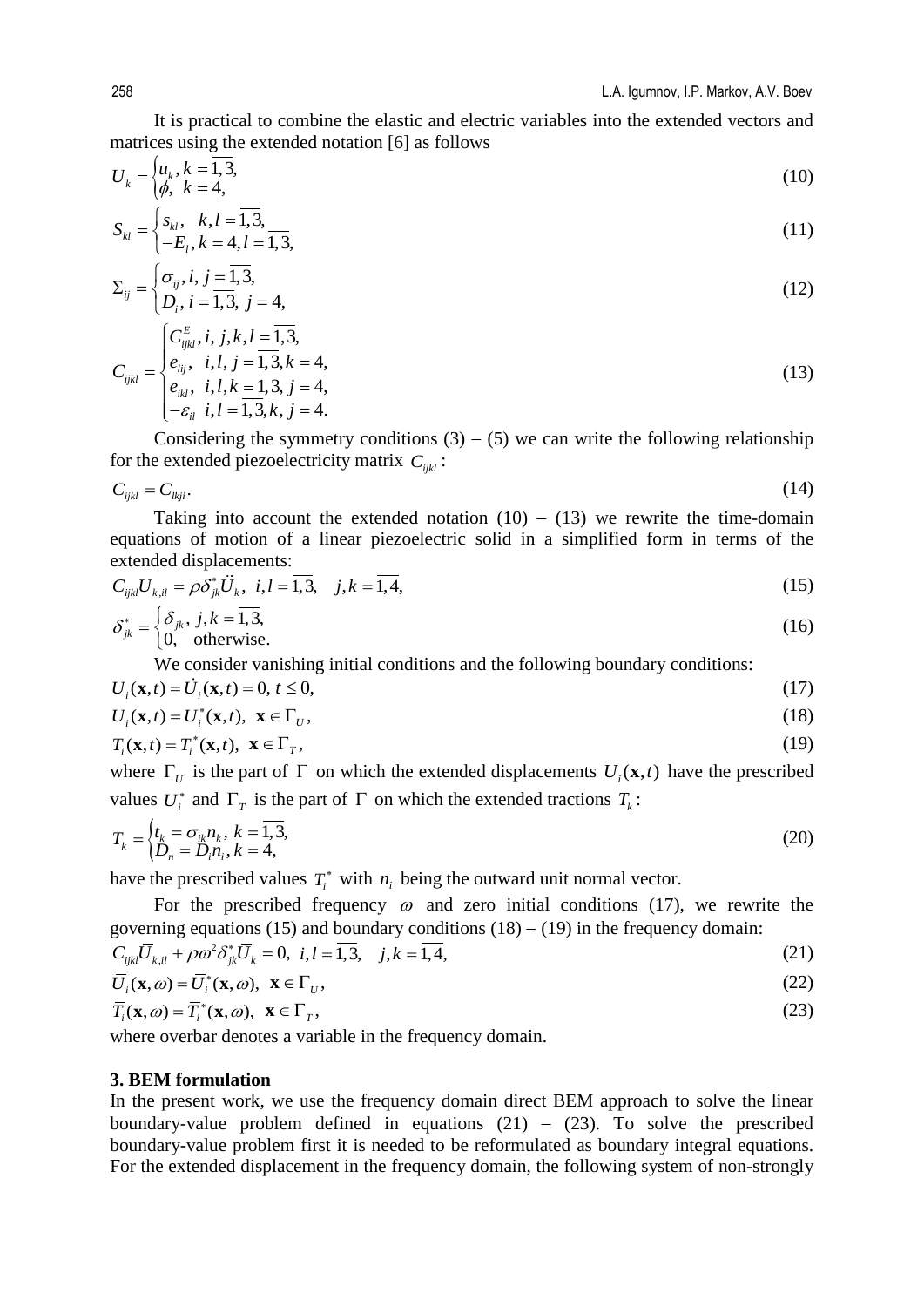It is practical to combine the elastic and electric variables into the extended vectors and matrices using the extended notation [6] as follows

$$
U_k = \begin{cases} u_k, k = \overline{1,3}, \\ \phi, k = 4, \end{cases}
$$
 (10)

$$
S_{kl} = \begin{cases} s_{kl}, & k, l = \overline{1,3}, \\ -E_l, k = 4, l = \overline{1,3}, \end{cases}
$$
(11)

$$
\Sigma_{ij} = \begin{cases} \sigma_{ij}, i, j = \overline{1,3}, \\ D_i, i = \overline{1,3}, j = 4, \end{cases}
$$
\n(12)

$$
C_{ijkl} = \begin{cases} C_{ijkl}^{E}, i, j, k, l = \overline{1, 3}, \\ e_{lij}, i, l, j = \overline{1, 3}, k = 4, \\ e_{ikl}, i, l, k = \overline{1, 3}, j = 4, \\ -\varepsilon_{il}, i, l = \overline{1, 3}, k, j = 4. \end{cases}
$$
(13)

Considering the symmetry conditions  $(3) - (5)$  we can write the following relationship for the extended piezoelectricity matrix  $C_{ijk}$ :

$$
C_{ijkl} = C_{lkji}.\tag{14}
$$

Taking into account the extended notation  $(10) - (13)$  we rewrite the time-domain equations of motion of a linear piezoelectric solid in a simplified form in terms of the extended displacements:

$$
C_{ijkl}U_{k,il} = \rho \delta_{jk}^* \ddot{U}_k, \ i, l = \overline{1,3}, \quad j, k = \overline{1,4}, \tag{15}
$$

$$
\delta_{jk}^* = \begin{cases} \delta_{jk}, j, k = \overline{1,3}, \\ 0, \text{ otherwise.} \end{cases}
$$
 (16)

We consider vanishing initial conditions and the following boundary conditions:

$$
U_i(\mathbf{x},t) = \dot{U}_i(\mathbf{x},t) = 0, \, t \le 0,\tag{17}
$$

$$
U_i(\mathbf{x},t) = U_i^*(\mathbf{x},t), \ \mathbf{x} \in \Gamma_U,\tag{18}
$$

$$
T_i(\mathbf{x},t) = T_i^*(\mathbf{x},t), \ \mathbf{x} \in \Gamma_T,\tag{19}
$$

where  $\Gamma_{U}$  is the part of  $\Gamma$  on which the extended displacements  $U_{i}(\mathbf{x},t)$  have the prescribed values  $U_i^*$  and  $\Gamma_T$  is the part of  $\Gamma$  on which the extended tractions  $T_k$ :

$$
T_k = \begin{cases} t_k = \sigma_{ik} n_k, \ k = \overline{1, 3}, \\ D_n = D_i n_i, k = 4, \end{cases}
$$
 (20)

have the prescribed values  $T_i^*$  with  $n_i$  being the outward unit normal vector.

For the prescribed frequency  $\omega$  and zero initial conditions (17), we rewrite the governing equations (15) and boundary conditions  $(18) - (19)$  in the frequency domain:

$$
C_{ijkl}\overline{U}_{k,il} + \rho \omega^2 \delta_{jk}^* \overline{U}_k = 0, \ i, l = \overline{1,3}, \ j, k = \overline{1,4}, \tag{21}
$$

$$
\overline{U}_i(\mathbf{x},\omega) = \overline{U}_i^*(\mathbf{x},\omega), \ \mathbf{x} \in \Gamma_U,\tag{22}
$$

$$
\overline{T}_i(\mathbf{x}, \omega) = \overline{T}_i^*(\mathbf{x}, \omega), \ \mathbf{x} \in \Gamma_T,\tag{23}
$$

where overbar denotes a variable in the frequency domain.

#### **3. BEM formulation**

In the present work, we use the frequency domain direct BEM approach to solve the linear boundary-value problem defined in equations (21) – (23). To solve the prescribed boundary-value problem first it is needed to be reformulated as boundary integral equations. For the extended displacement in the frequency domain, the following system of non-strongly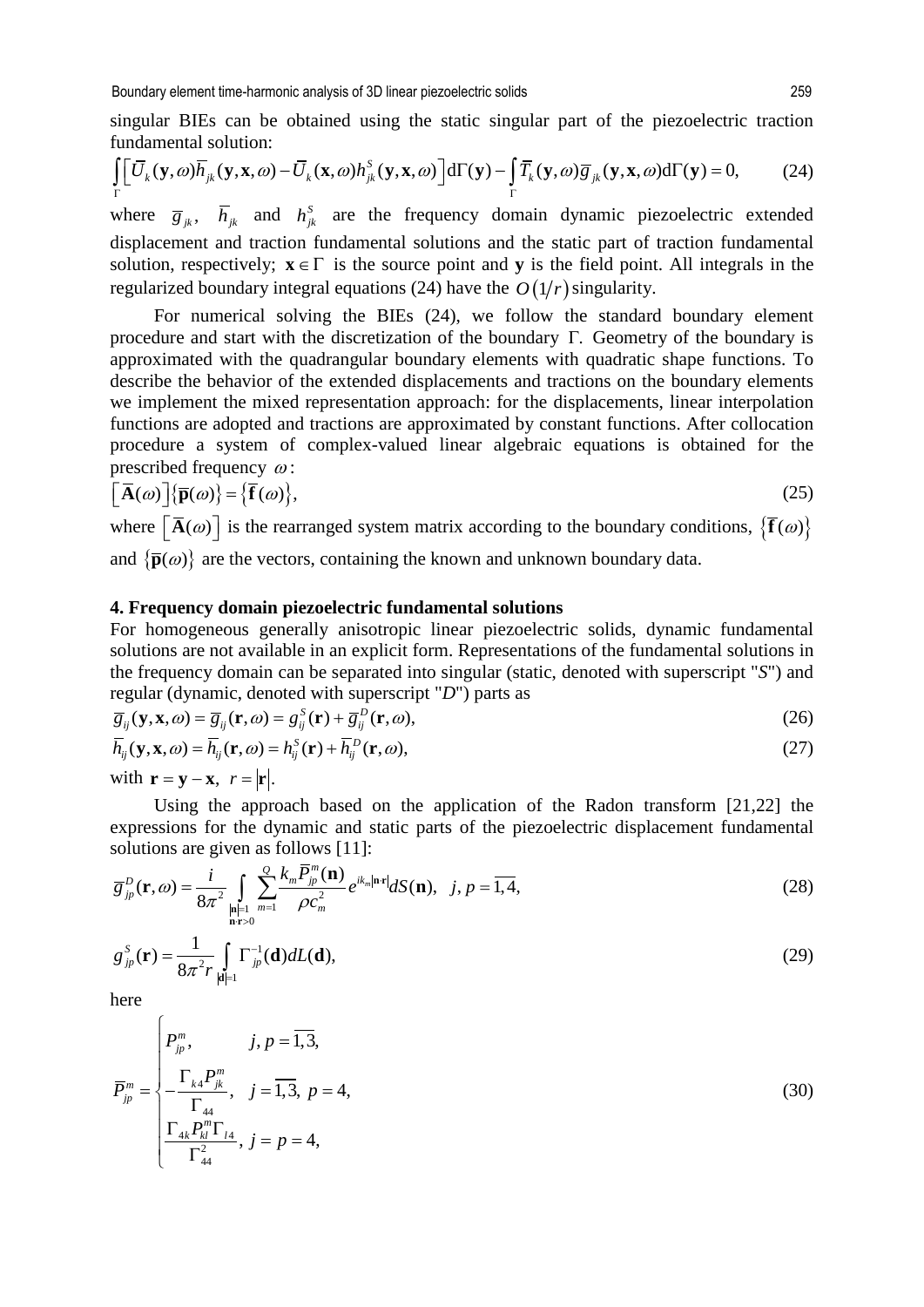singular BIEs can be obtained using the static singular part of the piezoelectric traction fundamental solution:

$$
\int_{\Gamma} \left[ \overline{U}_{k}(\mathbf{y}, \omega) \overline{h}_{jk}(\mathbf{y}, \mathbf{x}, \omega) - \overline{U}_{k}(\mathbf{x}, \omega) h_{jk}^{S}(\mathbf{y}, \mathbf{x}, \omega) \right] d\Gamma(\mathbf{y}) - \int_{\Gamma} \overline{T}_{k}(\mathbf{y}, \omega) \overline{g}_{jk}(\mathbf{y}, \mathbf{x}, \omega) d\Gamma(\mathbf{y}) = 0, \tag{24}
$$

where  $\overline{g}_{jk}$ ,  $\overline{h}_{jk}$  and  $h_{jk}^s$  are the frequency domain dynamic piezoelectric extended displacement and traction fundamental solutions and the static part of traction fundamental solution, respectively;  $\mathbf{x} \in \Gamma$  is the source point and **v** is the field point. All integrals in the regularized boundary integral equations (24) have the  $O(1/r)$  singularity.

For numerical solving the BIEs (24), we follow the standard boundary element procedure and start with the discretization of the boundary Γ. Geometry of the boundary is approximated with the quadrangular boundary elements with quadratic shape functions. To describe the behavior of the extended displacements and tractions on the boundary elements we implement the mixed representation approach: for the displacements, linear interpolation functions are adopted and tractions are approximated by constant functions. After collocation procedure a system of complex-valued linear algebraic equations is obtained for the prescribed frequency  $\omega$ :

$$
\left[ \overline{\mathbf{A}}(\omega) \right] \left\{ \overline{\mathbf{p}}(\omega) \right\} = \left\{ \overline{\mathbf{f}}(\omega) \right\},\tag{25}
$$

where  $\left[\overline{\mathbf{A}}(\omega)\right]$  is the rearranged system matrix according to the boundary conditions,  $\left\{\overline{\mathbf{f}}(\omega)\right\}$ and  $\{\bar{\mathbf{p}}(\omega)\}\$ are the vectors, containing the known and unknown boundary data.

#### **4. Frequency domain piezoelectric fundamental solutions**

For homogeneous generally anisotropic linear piezoelectric solids, dynamic fundamental solutions are not available in an explicit form. Representations of the fundamental solutions in the frequency domain can be separated into singular (static, denoted with superscript "*S*") and regular (dynamic, denoted with superscript "*D*") parts as

$$
\overline{g}_{ij}(\mathbf{y}, \mathbf{x}, \omega) = \overline{g}_{ij}(\mathbf{r}, \omega) = g_{ij}^{S}(\mathbf{r}) + \overline{g}_{ij}^{D}(\mathbf{r}, \omega),
$$
\n(26)

$$
\overline{h}_{ij}(\mathbf{y}, \mathbf{x}, \omega) = \overline{h}_{ij}(\mathbf{r}, \omega) = h_{ij}^{S}(\mathbf{r}) + \overline{h}_{ij}^{D}(\mathbf{r}, \omega),
$$
\n(27)

with  $\mathbf{r} = \mathbf{y} - \mathbf{x}$ ,  $r = |\mathbf{r}|$ .

Using the approach based on the application of the Radon transform [21,22] the expressions for the dynamic and static parts of the piezoelectric displacement fundamental solutions are given as follows [11]:

$$
\overline{g}_{jp}^{D}(\mathbf{r},\omega) = \frac{i}{8\pi^2} \int_{\substack{|\mathbf{n}|=1\\ \mathbf{n} \cdot \mathbf{r}>0}} \frac{\sum_{m=1}^{Q} k_m \overline{P}_{jp}^m(\mathbf{n})}{\rho c_m^2} e^{ik_m|\mathbf{n} \cdot \mathbf{r}|} dS(\mathbf{n}), \quad j, p = \overline{1,4}, \tag{28}
$$

$$
g_{jp}^S(\mathbf{r}) = \frac{1}{8\pi^2 r} \int_{|\mathbf{d}|=1} \Gamma_{jp}^{-1}(\mathbf{d}) dL(\mathbf{d}),
$$
\n(29)

here

 $\sqrt{ }$ 

$$
\overline{P}_{jp}^{m} = \begin{cases}\nP_{jp}^{m}, & j, p = \overline{1,3}, \\
-\frac{\Gamma_{k4}P_{jk}^{m}}{\Gamma_{44}}, & j = \overline{1,3}, p = 4, \\
\frac{\Gamma_{4k}P_{kl}^{m}\Gamma_{l4}}{\Gamma_{44}^{2}}, & j = p = 4,\n\end{cases}
$$
\n(30)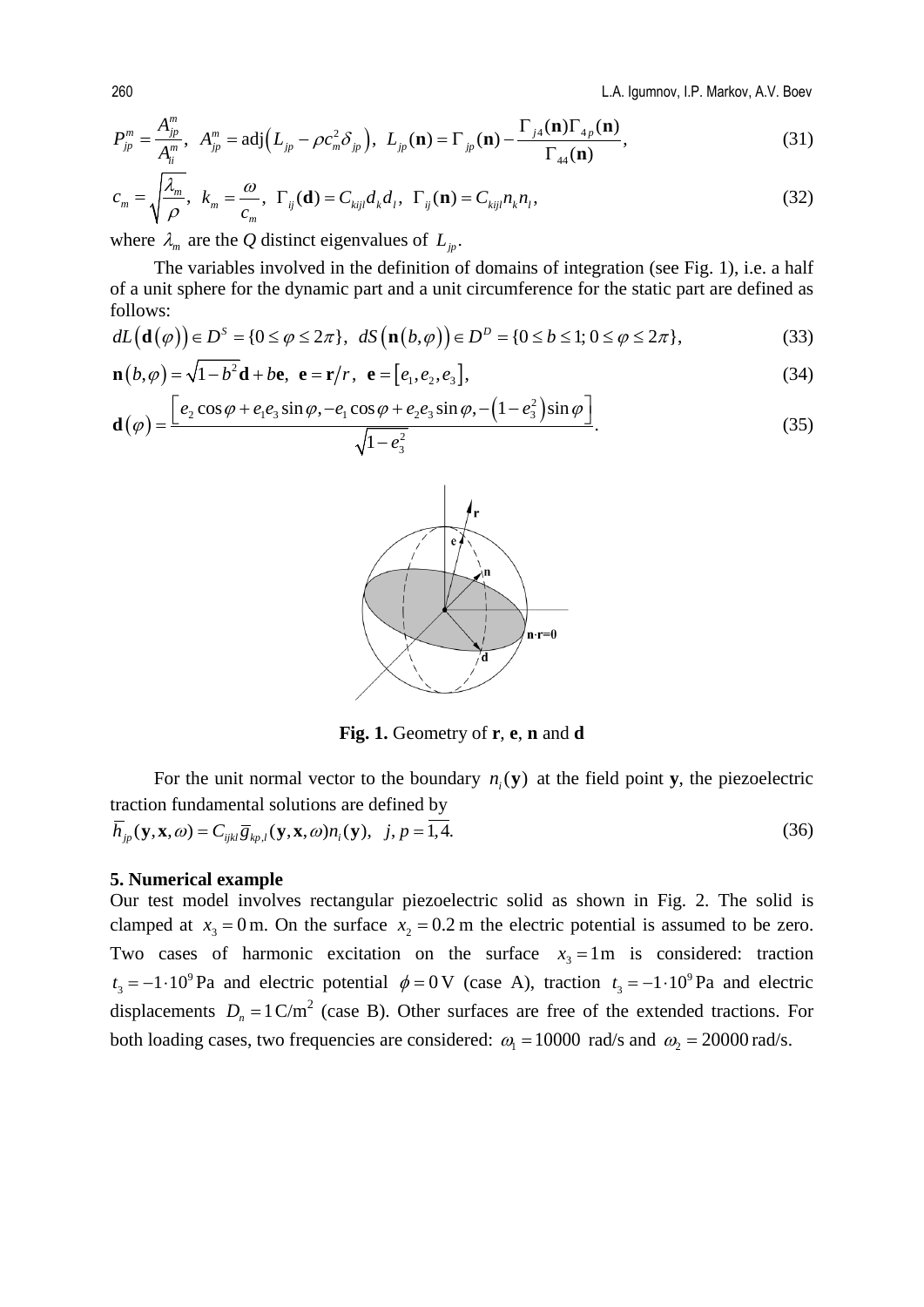260 L.A. Igumnov, I.P. Markov, A.V. Boev

$$
P_{jp}^m = \frac{A_{jp}^m}{A_{ii}^m}, \quad A_{jp}^m = \text{adj}\Big(L_{jp} - \rho c_m^2 \delta_{jp}\Big), \quad L_{jp}(\mathbf{n}) = \Gamma_{jp}(\mathbf{n}) - \frac{\Gamma_{j4}(\mathbf{n})\Gamma_{4p}(\mathbf{n})}{\Gamma_{44}(\mathbf{n})},\tag{31}
$$

$$
c_m = \sqrt{\frac{\lambda_m}{\rho}}, \quad k_m = \frac{\omega}{c_m}, \quad \Gamma_{ij}(\mathbf{d}) = C_{kijl} d_k d_l, \quad \Gamma_{ij}(\mathbf{n}) = C_{kijl} n_k n_l,
$$
\n(32)

where  $\lambda_m$  are the *Q* distinct eigenvalues of  $L_p$ .

The variables involved in the definition of domains of integration (see Fig. 1), i.e. a half of a unit sphere for the dynamic part and a unit circumference for the static part are defined as follows:

$$
dL(\mathbf{d}(\varphi)) \in D^{S} = \{0 \le \varphi \le 2\pi\}, \quad dS\left(\mathbf{n}(b,\varphi)\right) \in D^{D} = \{0 \le b \le 1; 0 \le \varphi \le 2\pi\},\tag{33}
$$

$$
\mathbf{n}(b,\varphi) = \sqrt{1-b^2}\mathbf{d} + b\mathbf{e}, \ \mathbf{e} = \mathbf{r}/r, \ \mathbf{e} = [e_1, e_2, e_3], \tag{34}
$$

$$
\mathbf{d}(\varphi) = \frac{\left[e_2 \cos \varphi + e_1 e_3 \sin \varphi, -e_1 \cos \varphi + e_2 e_3 \sin \varphi, -\left(1 - e_3^2\right) \sin \varphi\right]}{\sqrt{1 - e_3^2}}.
$$
(35)



**Fig. 1.** Geometry of **r**, **e**, **n** and **d**

For the unit normal vector to the boundary  $n_i(y)$  at the field point **y**, the piezoelectric traction fundamental solutions are defined by  $\overline{h}_{jp}(\mathbf{y}, \mathbf{x}, \omega) = C_{ijkl} \overline{g}_{kp,l}(\mathbf{y}, \mathbf{x}, \omega) n_i(\mathbf{y}), \quad j, p = \overline{1, 4}.$ (36)

#### **5. Numerical example**

Our test model involves rectangular piezoelectric solid as shown in Fig. 2. The solid is clamped at  $x_3 = 0$  m. On the surface  $x_2 = 0.2$  m the electric potential is assumed to be zero. Two cases of harmonic excitation on the surface  $x_3 = 1 \text{ m}$  is considered: traction  $t_3 = -1 \cdot 10^9$  Pa and electric potential  $\phi = 0$  V (case A), traction  $t_3 = -1 \cdot 10^9$  Pa and electric displacements  $D_n = 1 \text{ C/m}^2$  (case B). Other surfaces are free of the extended tractions. For both loading cases, two frequencies are considered:  $\omega_1 = 10000 \text{ rad/s}$  and  $\omega_2 = 20000 \text{ rad/s}$ .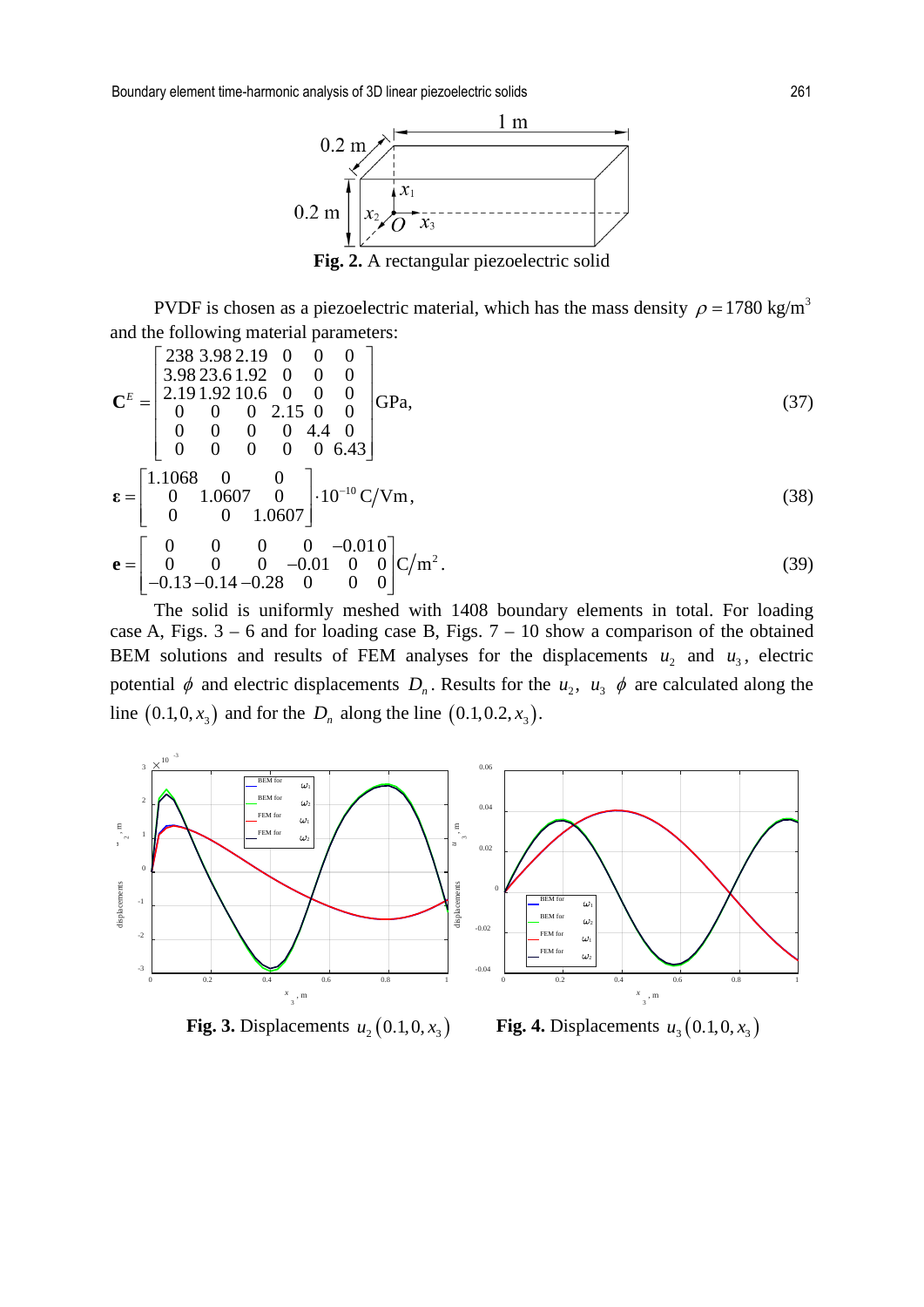

PVDF is chosen as a piezoelectric material, which has the mass density  $\rho = 1780 \text{ kg/m}^3$ and the following material parameters:

$$
\mathbf{C}^{E} = \begin{bmatrix} 238 & 3.98 & 2.19 & 0 & 0 & 0 \\ 3.98 & 23.6 & 1.92 & 0 & 0 & 0 \\ 2.19 & 1.92 & 10.6 & 0 & 0 & 0 \\ 0 & 0 & 0 & 2.15 & 0 & 0 \\ 0 & 0 & 0 & 0 & 4.4 & 0 \\ 0 & 0 & 0 & 0 & 0 & 6.43 \end{bmatrix} \text{GPa},
$$
(37)  
\n
$$
\mathbf{\varepsilon} = \begin{bmatrix} 1.1068 & 0 & 0 \\ 0 & 1.0607 & 0 \\ 0 & 0 & 1.0607 \end{bmatrix} \cdot 10^{-10} \text{ C/Vm},
$$
(38)  
\n
$$
\mathbf{e} = \begin{bmatrix} 0 & 0 & 0 & 0 & -0.010 \\ 0 & 0 & 0 & -0.01 & 0 \\ -0.13 & -0.14 & -0.28 & 0 & 0 & 0 \end{bmatrix} \text{C/m}^{2}.
$$
(39)

The solid is uniformly meshed with 1408 boundary elements in total. For loading case A, Figs.  $3 - 6$  and for loading case B, Figs.  $7 - 10$  show a comparison of the obtained BEM solutions and results of FEM analyses for the displacements  $u_2$  and  $u_3$ , electric potential  $\phi$  and electric displacements  $D_n$ . Results for the  $u_2$ ,  $u_3$   $\phi$  are calculated along the line  $(0.1, 0, x_3)$  and for the  $D_n$  along the line  $(0.1, 0.2, x_3)$ .



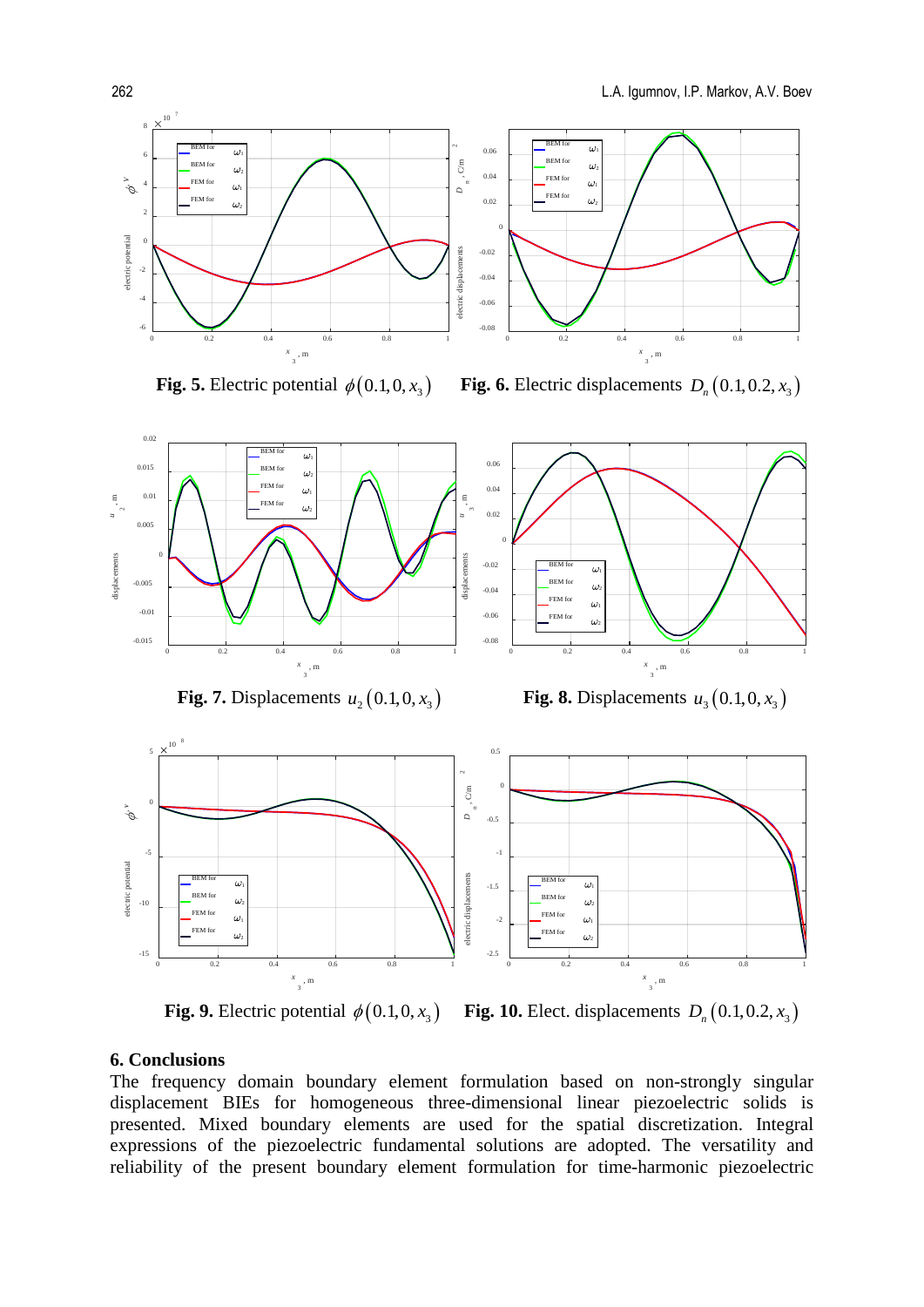

 **Fig. 5.** Electric potential  $\phi(0.1,0,x)$  **Fig. 6.** Electric displacements  $D_{n}(0.1,0.2,x)$ 



**Fig. 7.** Displacements  $u_2(0.1, 0, x_3)$  **Fig. 8.** Displacements  $u_3(0.1, 0, x_3)$ 



 **Fig. 9.** Electric potential  $\phi(0.1, 0, x_3)$  **Fig. 10.** Elect. displacements  $D_n(0.1, 0.2, x_3)$ 

### **6. Conclusions**

The frequency domain boundary element formulation based on non-strongly singular displacement BIEs for homogeneous three-dimensional linear piezoelectric solids is presented. Mixed boundary elements are used for the spatial discretization. Integral expressions of the piezoelectric fundamental solutions are adopted. The versatility and reliability of the present boundary element formulation for time-harmonic piezoelectric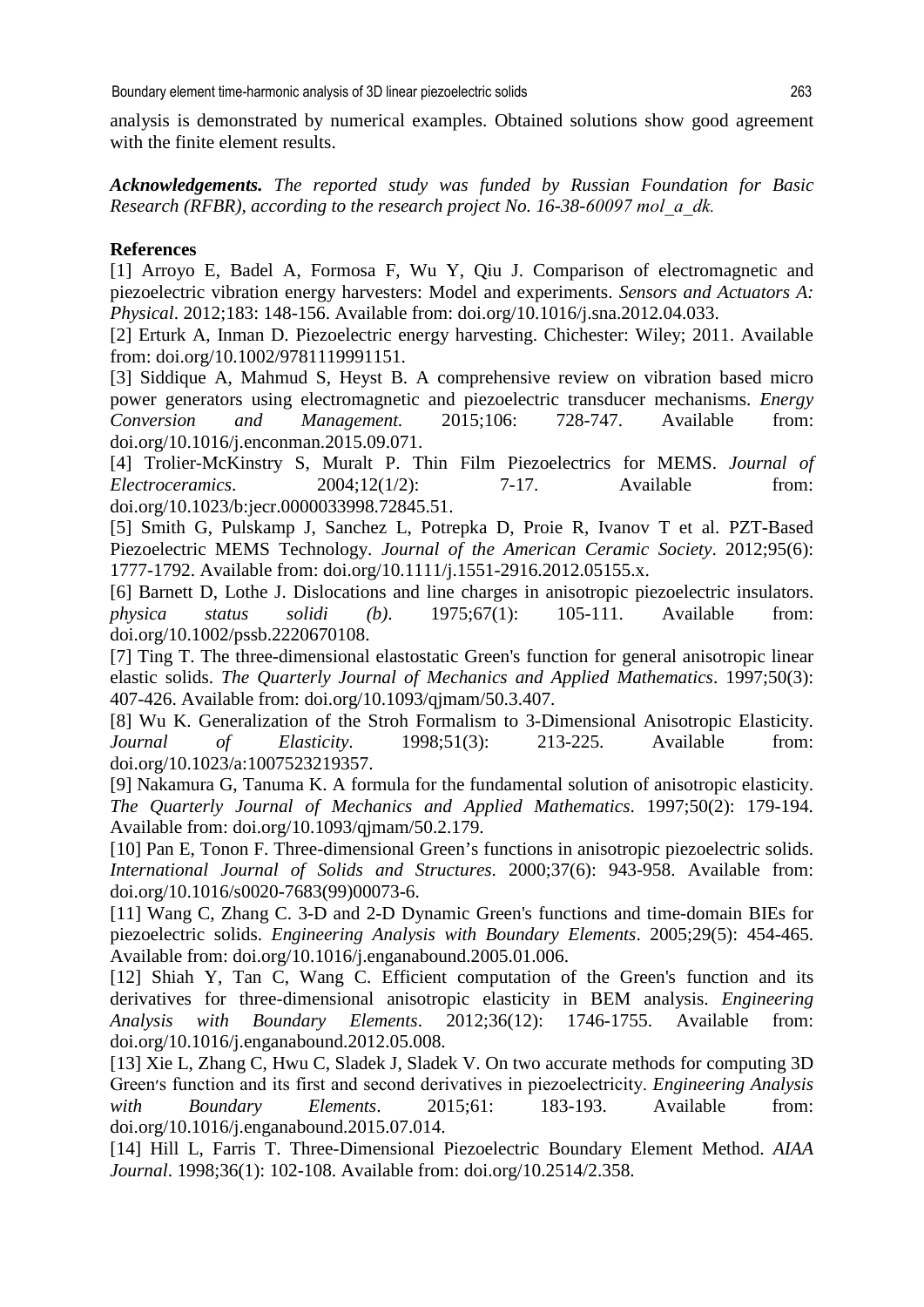analysis is demonstrated by numerical examples. Obtained solutions show good agreement with the finite element results.

*Acknowledgements. The reported study was funded by Russian Foundation for Basic Research (RFBR), according to the research project No. 16-38-60097 mol\_а\_dk.*

## **References**

[1] Arroyo E, Badel A, Formosa F, Wu Y, Qiu J. Comparison of electromagnetic and piezoelectric vibration energy harvesters: Model and experiments. *Sensors and Actuators A: Physical*. 2012;183: 148-156. Available from: doi.org/10.1016/j.sna.2012.04.033.

[2] Erturk A, Inman D. Piezoelectric energy harvesting. Chichester: Wiley; 2011. Available from: doi.org/10.1002/9781119991151.

[3] Siddique A, Mahmud S, Heyst B. A comprehensive review on vibration based micro power generators using electromagnetic and piezoelectric transducer mechanisms. *Energy Conversion and Management.* 2015;106: 728-747. Available from: doi.org/10.1016/j.enconman.2015.09.071.

[4] Trolier-McKinstry S, Muralt P. Thin Film Piezoelectrics for MEMS. *Journal of Electroceramics*. 2004;12(1/2): 7-17. Available from: doi.org/10.1023/b:jecr.0000033998.72845.51.

[5] Smith G, Pulskamp J, Sanchez L, Potrepka D, Proie R, Ivanov T et al. PZT-Based Piezoelectric MEMS Technology. *Journal of the American Ceramic Society*. 2012;95(6): 1777-1792. Available from: doi.org/10.1111/j.1551-2916.2012.05155.x.

[6] Barnett D, Lothe J. Dislocations and line charges in anisotropic piezoelectric insulators. *physica status solidi (b)*. 1975;67(1): 105-111. Available from: doi.org/10.1002/pssb.2220670108.

[7] Ting T. The three-dimensional elastostatic Green's function for general anisotropic linear elastic solids. *The Quarterly Journal of Mechanics and Applied Mathematics*. 1997;50(3): 407-426. Available from: doi.org/10.1093/qjmam/50.3.407.

[8] Wu K. Generalization of the Stroh Formalism to 3-Dimensional Anisotropic Elasticity. *Journal of Elasticity*. 1998;51(3): 213-225. Available from: doi.org/10.1023/a:1007523219357.

[9] Nakamura G, Tanuma K. A formula for the fundamental solution of anisotropic elasticity. *The Quarterly Journal of Mechanics and Applied Mathematics*. 1997;50(2): 179-194. Available from: doi.org/10.1093/qjmam/50.2.179.

[10] Pan E, Tonon F. Three-dimensional Green's functions in anisotropic piezoelectric solids. *International Journal of Solids and Structures*. 2000;37(6): 943-958. Available from: doi.org/10.1016/s0020-7683(99)00073-6.

[11] Wang C, Zhang C. 3-D and 2-D Dynamic Green's functions and time-domain BIEs for piezoelectric solids. *Engineering Analysis with Boundary Elements*. 2005;29(5): 454-465. Available from: doi.org/10.1016/j.enganabound.2005.01.006.

[12] Shiah Y, Tan C, Wang C. Efficient computation of the Green's function and its derivatives for three-dimensional anisotropic elasticity in BEM analysis. *Engineering Analysis with Boundary Elements*. 2012;36(12): 1746-1755. Available from: doi.org/10.1016/j.enganabound.2012.05.008.

[13] Xie L, Zhang C, Hwu C, Sladek J, Sladek V. On two accurate methods for computing 3D Green׳s function and its first and second derivatives in piezoelectricity. *Engineering Analysis with Boundary Elements*. 2015;61: 183-193. Available from: doi.org/10.1016/j.enganabound.2015.07.014.

[14] Hill L, Farris T. Three-Dimensional Piezoelectric Boundary Element Method. *AIAA Journal*. 1998;36(1): 102-108. Available from: doi.org/10.2514/2.358.